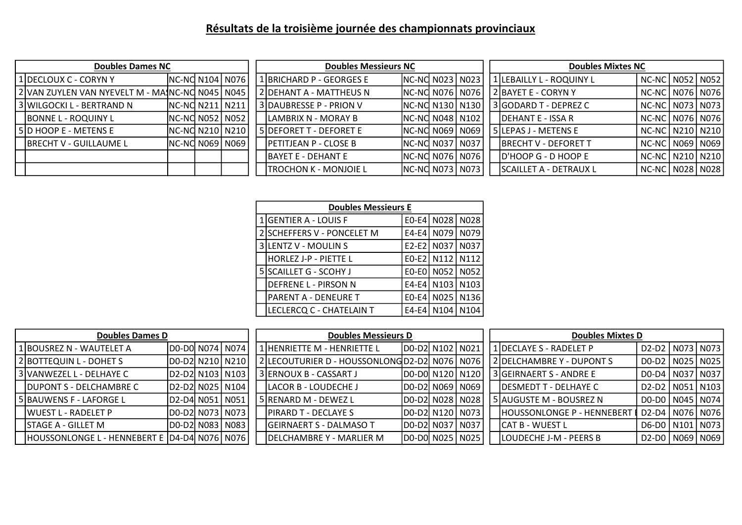## Résultats de la troisième journée des championnats provinciaux

| <b>Doubles Dames NC</b>                         |                    |  |  |  | <b>Doubles Messieurs NC</b>   |                   |  |                             | <b>Doubles Mixtes NC</b> |                              |                     |  |  |
|-------------------------------------------------|--------------------|--|--|--|-------------------------------|-------------------|--|-----------------------------|--------------------------|------------------------------|---------------------|--|--|
| 1 DECLOUX C - CORYN Y                           | NC-NO N104 N076    |  |  |  | 1 BRICHARD P - GEORGES E      | NC-NC N023   N023 |  |                             |                          | 1 LEBAILLY L - ROQUINY L     | NC-NC   N052   N052 |  |  |
| 2 VAN ZUYLEN VAN NYEVELT M - MAJNC-NO N045 N045 |                    |  |  |  | 2 DEHANT A - MATTHEUS N       |                   |  | INC-NO N076 N076            |                          | <b>L2IBAYET E - CORYN Y</b>  | NC-NC   N076   N076 |  |  |
| 3 WILGOCKI L - BERTRAND N                       | INC-NO N211   N211 |  |  |  | 3 DAUBRESSE P - PRION V       |                   |  | NC-NC N130   N130           |                          | SGODARD T - DEPREZ C         | NC-NC   N073   N073 |  |  |
| <b>BONNE L - ROQUINY L</b>                      | NC-NC N052   N052  |  |  |  | ILAMBRIX N - MORAY B          |                   |  | <b>INC-NO N048   N102  </b> |                          | <b>IDEHANT E - ISSA R</b>    | NC-NC   N076   N076 |  |  |
| 5 D HOOP E - METENS E                           | NC-NC N210   N210  |  |  |  | l 5 IDEFORET T - DEFORET E    | INC-NO N069 N069  |  |                             |                          | 5 LEPAS J - METENS E         | NC-NC   N210   N210 |  |  |
| <b>IBRECHT V - GUILLAUME L</b>                  | NC-NC N069 N069    |  |  |  | <b>IPETITJEAN P - CLOSE B</b> | INC-NO N037 N037  |  |                             |                          | <b>IBRECHT V - DEFORET T</b> | NC-NC   N069   N069 |  |  |
|                                                 |                    |  |  |  | <b>IBAYET E - DEHANT E</b>    |                   |  | NC-NC N076 N076             |                          | <b>ID'HOOP G - D HOOP E</b>  | NC-NC   N210   N210 |  |  |
|                                                 |                    |  |  |  | TROCHON K - MONJOIE L         | NC-NC N073   N073 |  |                             |                          | SCAILLET A - DETRAUX L       | NC-NC   N028   N028 |  |  |

| <b>Doubles Messieurs E</b> |         |                   |                   |  |  |  |  |  |  |  |  |  |  |
|----------------------------|---------|-------------------|-------------------|--|--|--|--|--|--|--|--|--|--|
| <b>GENTIER A - LOUIS F</b> |         | E0-E4 N028        | N <sub>0</sub> 28 |  |  |  |  |  |  |  |  |  |  |
| 2 SCHEFFERS V - PONCELET M | $E4-E4$ | N079              | N079              |  |  |  |  |  |  |  |  |  |  |
| 3 LENTZ V - MOULIN S       | $E2-E2$ | N037              | N <sub>0</sub> 37 |  |  |  |  |  |  |  |  |  |  |
| HORLEZ J-P - PIETTE L      | $E0-E2$ | N112              | N112              |  |  |  |  |  |  |  |  |  |  |
| 5 SCAILLET G - SCOHY J     | EO-EO   | N052              | N <sub>052</sub>  |  |  |  |  |  |  |  |  |  |  |
| DEFRENE L - PIRSON N       | $E4-E4$ | N <sub>10</sub> 3 | N <sub>103</sub>  |  |  |  |  |  |  |  |  |  |  |
| PARENT A - DENEURE T       | $E0-E4$ | N025              | N <sub>136</sub>  |  |  |  |  |  |  |  |  |  |  |
| LECLERCQ C - CHATELAIN T   | E4-E4   | N104              |                   |  |  |  |  |  |  |  |  |  |  |

| <b>Doubles Dames D</b> |                                              |                    |  |  |  | <b>Doubles Messieurs D</b>                    |                    |  |  | <b>Doubles Mixtes D</b> |                                   |                        |  |  |
|------------------------|----------------------------------------------|--------------------|--|--|--|-----------------------------------------------|--------------------|--|--|-------------------------|-----------------------------------|------------------------|--|--|
|                        | 1 BOUSREZ N - WAUTELET A                     | D0-D0  N074   N074 |  |  |  | 1 HENRIETTE M - HENRIETTE L                   | D0-D2 N102 N021    |  |  |                         | 1 DECLAYE S - RADELET P           | D2-D2   N073   N073    |  |  |
|                        | 2 BOTTEQUIN L - DOHET S                      | D0-D2 N210 N210    |  |  |  | 2 LECOUTURIER D - HOUSSONLONG D2-D2 N076 N076 |                    |  |  |                         | 2 DELCHAMBRE Y - DUPONT S         | DO-D2   NO25   NO25    |  |  |
|                        | 3 IVANWEZEL L - DELHAYE C                    | D2-D2 N103 N103    |  |  |  | 3 ERNOUX B - CASSART J                        | D0-D0 N120 N120    |  |  |                         | 3 GEIRNAERT S - ANDRE E           | DO-D4   N037   N037    |  |  |
|                        | <b>DUPONT S - DELCHAMBRE C</b>               | D2-D2  N025   N104 |  |  |  | LACOR B - LOUDECHE J                          | D0-D2 N069 N069    |  |  |                         | <b>IDESMEDT T - DELHAYE C</b>     | D2-D2   N051   N103    |  |  |
|                        | 5 BAUWENS F - LAFORGE L                      | D2-D4 N051 N051    |  |  |  | 5 RENARD M - DEWEZ L                          | D0-D2 N028 N028    |  |  |                         | 5 AUGUSTE M - BOUSREZ N           | DO-DO   NO45   NO74    |  |  |
|                        | IWUEST L - RADELET P                         | D0-D2  N073   N073 |  |  |  | PIRARD T - DECLAYE S                          | D0-D2  N120   N073 |  |  |                         | <b>HOUSSONLONGE P - HENNEBERT</b> | `∥ D2-D4   N076   N076 |  |  |
|                        | <b>STAGE A - GILLET M</b>                    | D0-D2 N083 N083    |  |  |  | GEIRNAERT S - DALMASO T                       | D0-D2  N037   N037 |  |  |                         | <b>ICAT B - WUEST L</b>           | D6-D0   N101   N073    |  |  |
|                        | HOUSSONLONGE L - HENNEBERT E D4-D4 N076 N076 |                    |  |  |  | DELCHAMBRE Y - MARLIER M                      | D0-D0  N025   N025 |  |  |                         | <b>LOUDECHE J-M - PEERS B</b>     | D2-D0   N069   N069    |  |  |